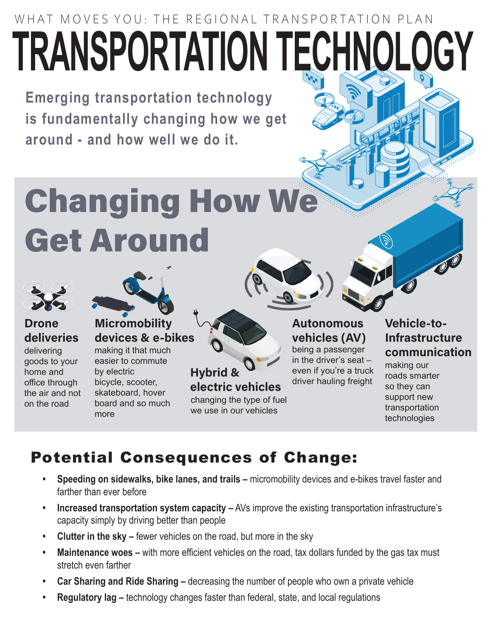## WHAT MOVES YOU: THE REGIONAL TRANSPORTATION PLAN **TRANSPORTATION TECHNOLOGY**

**Emerging transportation technology is fundamentally changing how we get around - and how well we do it.**

# Changing How We Get Around





delivering goods to your home and office through the air and not on the road



#### **Micromobility** devices & e-bikes

making it that much easier to commute by electric bicycle, scooter, skateboard, hover board and so much more



Autonomous vehicles (AV) being a passenger in the driver's seat – even if you're a truck driver hauling freight

#### Vehicle-to-Infrastructure communication

making our roads smarter so they can support new transportation technologies

## Potential Consequences of Change:

- **• Speeding on sidewalks, bike lanes, and trails –** micromobility devices and e-bikes travel faster and farther than ever before
- **• Increased transportation system capacity –** AVs improve the existing transportation infrastructure's capacity simply by driving better than people
- **• Clutter in the sky –** fewer vehicles on the road, but more in the sky
- **• Maintenance woes –** with more efficient vehicles on the road, tax dollars funded by the gas tax must stretch even farther
- **• Car Sharing and Ride Sharing –** decreasing the number of people who own a private vehicle
- **• Regulatory lag –** technology changes faster than federal, state, and local regulations